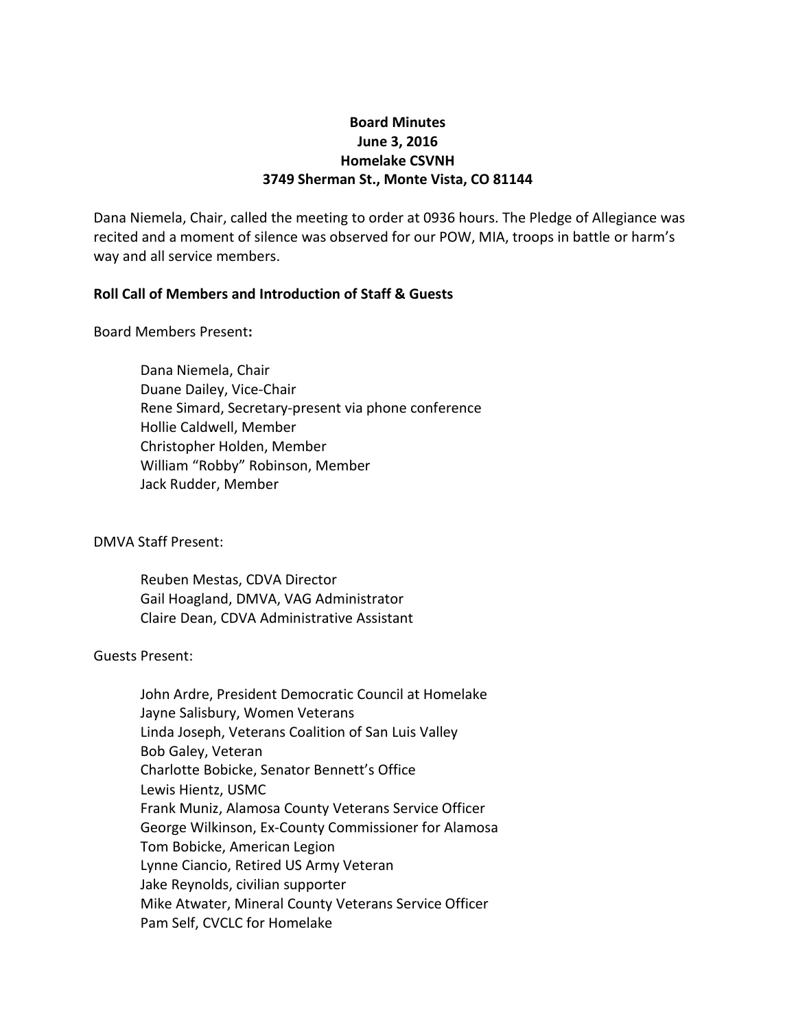# **Board Minutes June 3, 2016 Homelake CSVNH 3749 Sherman St., Monte Vista, CO 81144**

Dana Niemela, Chair, called the meeting to order at 0936 hours. The Pledge of Allegiance was recited and a moment of silence was observed for our POW, MIA, troops in battle or harm's way and all service members.

## **Roll Call of Members and Introduction of Staff & Guests**

Board Members Present**:**

Dana Niemela, Chair Duane Dailey, Vice-Chair Rene Simard, Secretary-present via phone conference Hollie Caldwell, Member Christopher Holden, Member William "Robby" Robinson, Member Jack Rudder, Member

DMVA Staff Present:

Reuben Mestas, CDVA Director Gail Hoagland, DMVA, VAG Administrator Claire Dean, CDVA Administrative Assistant

#### Guests Present:

John Ardre, President Democratic Council at Homelake Jayne Salisbury, Women Veterans Linda Joseph, Veterans Coalition of San Luis Valley Bob Galey, Veteran Charlotte Bobicke, Senator Bennett's Office Lewis Hientz, USMC Frank Muniz, Alamosa County Veterans Service Officer George Wilkinson, Ex-County Commissioner for Alamosa Tom Bobicke, American Legion Lynne Ciancio, Retired US Army Veteran Jake Reynolds, civilian supporter Mike Atwater, Mineral County Veterans Service Officer Pam Self, CVCLC for Homelake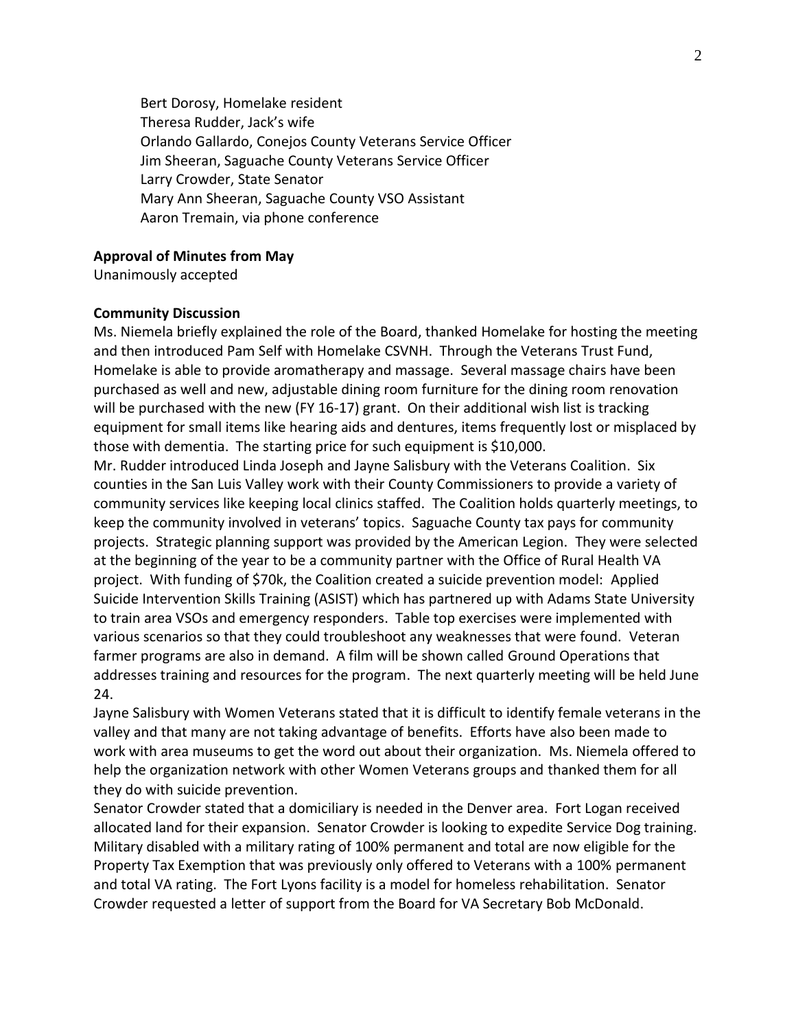Bert Dorosy, Homelake resident Theresa Rudder, Jack's wife Orlando Gallardo, Conejos County Veterans Service Officer Jim Sheeran, Saguache County Veterans Service Officer Larry Crowder, State Senator Mary Ann Sheeran, Saguache County VSO Assistant Aaron Tremain, via phone conference

#### **Approval of Minutes from May**

Unanimously accepted

#### **Community Discussion**

Ms. Niemela briefly explained the role of the Board, thanked Homelake for hosting the meeting and then introduced Pam Self with Homelake CSVNH. Through the Veterans Trust Fund, Homelake is able to provide aromatherapy and massage. Several massage chairs have been purchased as well and new, adjustable dining room furniture for the dining room renovation will be purchased with the new (FY 16-17) grant. On their additional wish list is tracking equipment for small items like hearing aids and dentures, items frequently lost or misplaced by those with dementia. The starting price for such equipment is \$10,000.

Mr. Rudder introduced Linda Joseph and Jayne Salisbury with the Veterans Coalition. Six counties in the San Luis Valley work with their County Commissioners to provide a variety of community services like keeping local clinics staffed. The Coalition holds quarterly meetings, to keep the community involved in veterans' topics. Saguache County tax pays for community projects. Strategic planning support was provided by the American Legion. They were selected at the beginning of the year to be a community partner with the Office of Rural Health VA project. With funding of \$70k, the Coalition created a suicide prevention model: Applied Suicide Intervention Skills Training (ASIST) which has partnered up with Adams State University to train area VSOs and emergency responders. Table top exercises were implemented with various scenarios so that they could troubleshoot any weaknesses that were found. Veteran farmer programs are also in demand. A film will be shown called Ground Operations that addresses training and resources for the program. The next quarterly meeting will be held June 24.

Jayne Salisbury with Women Veterans stated that it is difficult to identify female veterans in the valley and that many are not taking advantage of benefits. Efforts have also been made to work with area museums to get the word out about their organization. Ms. Niemela offered to help the organization network with other Women Veterans groups and thanked them for all they do with suicide prevention.

Senator Crowder stated that a domiciliary is needed in the Denver area. Fort Logan received allocated land for their expansion. Senator Crowder is looking to expedite Service Dog training. Military disabled with a military rating of 100% permanent and total are now eligible for the Property Tax Exemption that was previously only offered to Veterans with a 100% permanent and total VA rating. The Fort Lyons facility is a model for homeless rehabilitation. Senator Crowder requested a letter of support from the Board for VA Secretary Bob McDonald.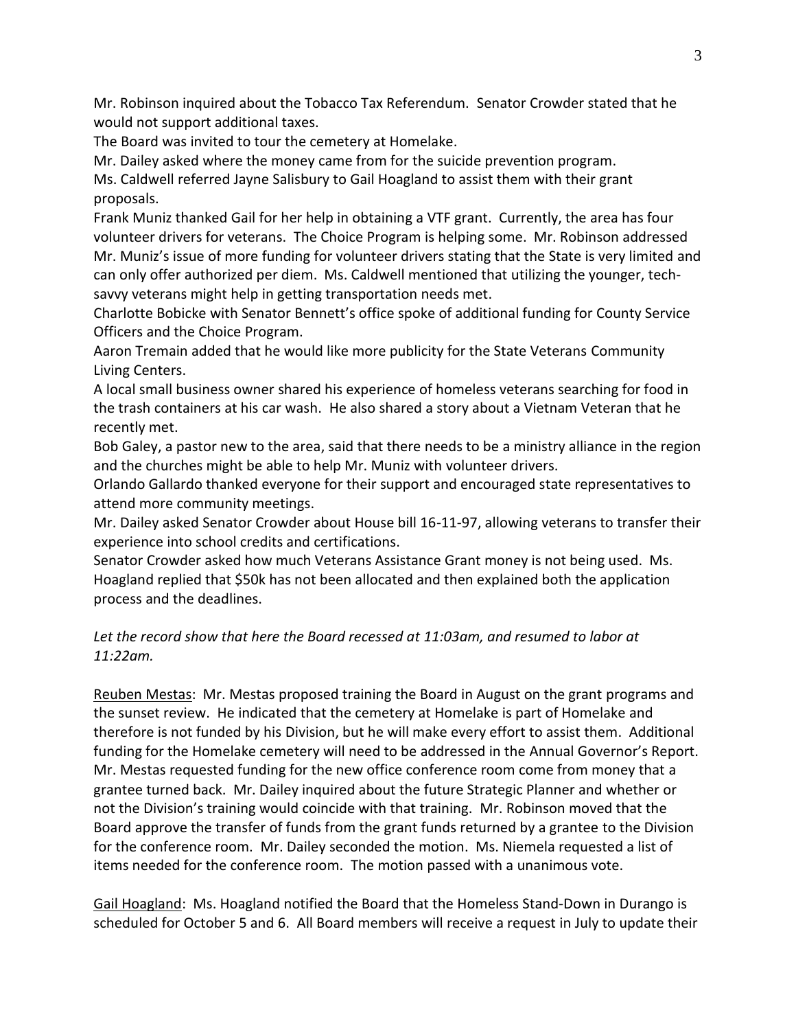Mr. Robinson inquired about the Tobacco Tax Referendum. Senator Crowder stated that he would not support additional taxes.

The Board was invited to tour the cemetery at Homelake.

Mr. Dailey asked where the money came from for the suicide prevention program.

Ms. Caldwell referred Jayne Salisbury to Gail Hoagland to assist them with their grant proposals.

Frank Muniz thanked Gail for her help in obtaining a VTF grant. Currently, the area has four volunteer drivers for veterans. The Choice Program is helping some. Mr. Robinson addressed Mr. Muniz's issue of more funding for volunteer drivers stating that the State is very limited and can only offer authorized per diem. Ms. Caldwell mentioned that utilizing the younger, techsavvy veterans might help in getting transportation needs met.

Charlotte Bobicke with Senator Bennett's office spoke of additional funding for County Service Officers and the Choice Program.

Aaron Tremain added that he would like more publicity for the State Veterans Community Living Centers.

A local small business owner shared his experience of homeless veterans searching for food in the trash containers at his car wash. He also shared a story about a Vietnam Veteran that he recently met.

Bob Galey, a pastor new to the area, said that there needs to be a ministry alliance in the region and the churches might be able to help Mr. Muniz with volunteer drivers.

Orlando Gallardo thanked everyone for their support and encouraged state representatives to attend more community meetings.

Mr. Dailey asked Senator Crowder about House bill 16-11-97, allowing veterans to transfer their experience into school credits and certifications.

Senator Crowder asked how much Veterans Assistance Grant money is not being used. Ms. Hoagland replied that \$50k has not been allocated and then explained both the application process and the deadlines.

# *Let the record show that here the Board recessed at 11:03am, and resumed to labor at 11:22am.*

Reuben Mestas: Mr. Mestas proposed training the Board in August on the grant programs and the sunset review. He indicated that the cemetery at Homelake is part of Homelake and therefore is not funded by his Division, but he will make every effort to assist them. Additional funding for the Homelake cemetery will need to be addressed in the Annual Governor's Report. Mr. Mestas requested funding for the new office conference room come from money that a grantee turned back. Mr. Dailey inquired about the future Strategic Planner and whether or not the Division's training would coincide with that training. Mr. Robinson moved that the Board approve the transfer of funds from the grant funds returned by a grantee to the Division for the conference room. Mr. Dailey seconded the motion. Ms. Niemela requested a list of items needed for the conference room. The motion passed with a unanimous vote.

Gail Hoagland: Ms. Hoagland notified the Board that the Homeless Stand-Down in Durango is scheduled for October 5 and 6. All Board members will receive a request in July to update their